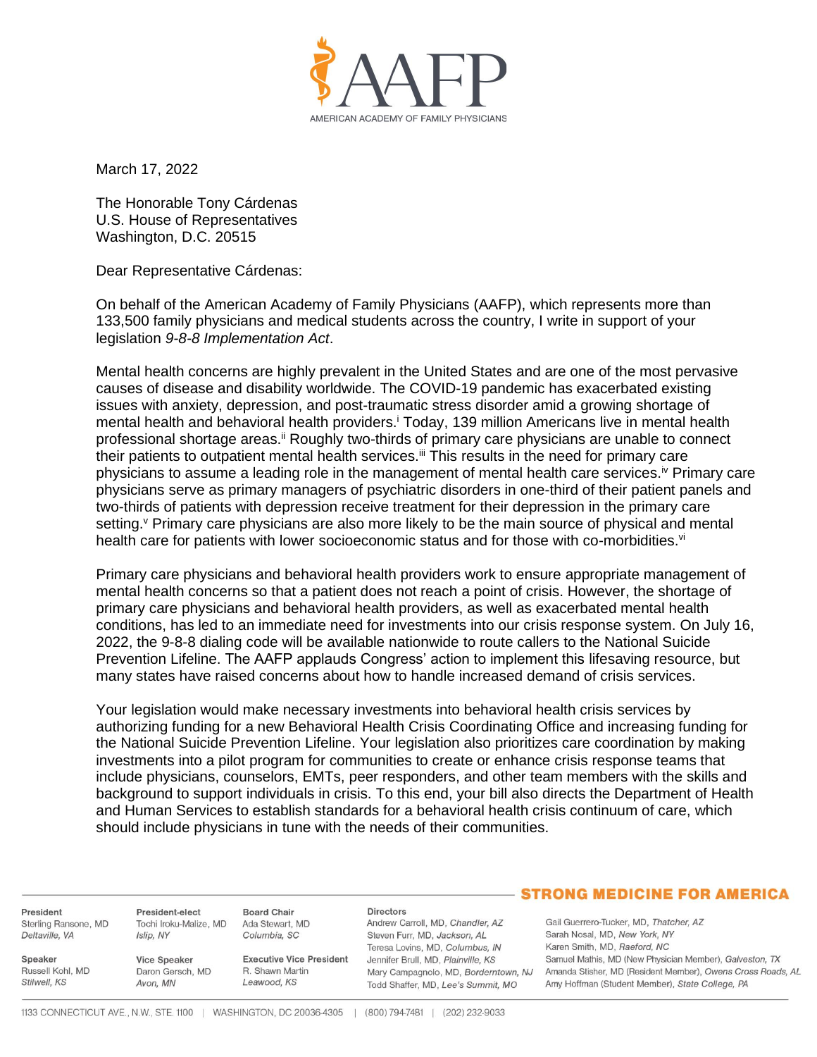

March 17, 2022

The Honorable Tony Cárdenas U.S. House of Representatives Washington, D.C. 20515

Dear Representative Cárdenas:

On behalf of the American Academy of Family Physicians (AAFP), which represents more than 133,500 family physicians and medical students across the country, I write in support of your legislation *9-8-8 Implementation Act*.

Mental health concerns are highly prevalent in the United States and are one of the most pervasive causes of disease and disability worldwide. The COVID-19 pandemic has exacerbated existing issues with anxiety, depression, and post-traumatic stress disorder amid a growing shortage of mental health and behavioral health providers.<sup>i</sup> Today, 139 million Americans live in mental health professional shortage areas.<sup>ii</sup> Roughly two-thirds of primary care physicians are unable to connect their patients to outpatient mental health services.<sup>iii</sup> This results in the need for primary care physicians to assume a leading role in the management of mental health care services.iv Primary care physicians serve as primary managers of psychiatric disorders in one-third of their patient panels and two-thirds of patients with depression receive treatment for their depression in the primary care setting. Primary care physicians are also more likely to be the main source of physical and mental health care for patients with lower socioeconomic status and for those with co-morbidities.<sup>vi</sup>

Primary care physicians and behavioral health providers work to ensure appropriate management of mental health concerns so that a patient does not reach a point of crisis. However, the shortage of primary care physicians and behavioral health providers, as well as exacerbated mental health conditions, has led to an immediate need for investments into our crisis response system. On July 16, 2022, the 9-8-8 dialing code will be available nationwide to route callers to the National Suicide Prevention Lifeline. The AAFP applauds Congress' action to implement this lifesaving resource, but many states have raised concerns about how to handle increased demand of crisis services.

Your legislation would make necessary investments into behavioral health crisis services by authorizing funding for a new Behavioral Health Crisis Coordinating Office and increasing funding for the National Suicide Prevention Lifeline. Your legislation also prioritizes care coordination by making investments into a pilot program for communities to create or enhance crisis response teams that include physicians, counselors, EMTs, peer responders, and other team members with the skills and background to support individuals in crisis. To this end, your bill also directs the Department of Health and Human Services to establish standards for a behavioral health crisis continuum of care, which should include physicians in tune with the needs of their communities.

President Sterling Ransone, MD Deltaville, VA

Russell Kohl, MD

Speaker

Stilwell, KS

President-elect Tochi Iroku-Malize, MD Islip, NY

Vice Speaker Daron Gersch, MD Avon, MN

**Executive Vice President** R. Shawn Martin Leawood, KS

**Directors** Andrew Carroll, MD, Chandler, AZ Steven Furr, MD, Jackson, AL Teresa Lovins, MD, Columbus, IN Jennifer Brull, MD, Plainville, KS Mary Campagnolo, MD, Borderntown, NJ Todd Shaffer, MD, Lee's Summit, MO

## **STRONG MEDICINE FOR AMERICA**

Gail Guerrero-Tucker, MD, Thatcher, AZ Sarah Nosal, MD, New York, NY Karen Smith, MD, Raeford, NC Samuel Mathis, MD (New Physician Member), Galveston, TX Amanda Stisher, MD (Resident Member), Owens Cross Roads, AL Amy Hoffman (Student Member), State College, PA

**Board Chair** 

Ada Stewart, MD

Columbia, SC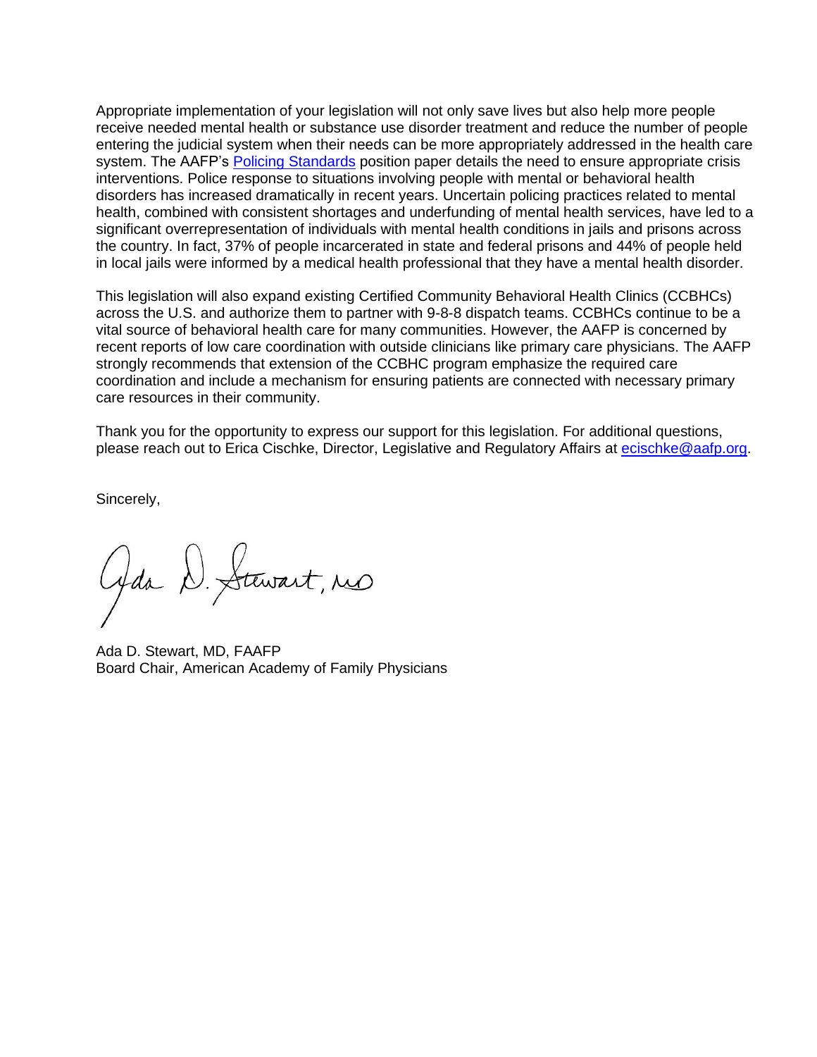Appropriate implementation of your legislation will not only save lives but also help more people receive needed mental health or substance use disorder treatment and reduce the number of people entering the judicial system when their needs can be more appropriately addressed in the health care system. The AAFP's Policing [Standards](https://www.aafp.org/about/policies/all/policing-standards.html) position paper details the need to ensure appropriate crisis interventions. Police response to situations involving people with mental or behavioral health disorders has increased dramatically in recent years. Uncertain policing practices related to mental health, combined with consistent shortages and underfunding of mental health services, have led to a significant overrepresentation of individuals with mental health conditions in jails and prisons across the country. In fact, 37% of people incarcerated in state and federal prisons and 44% of people held in local jails were informed by a medical health professional that they have a mental health disorder.

This legislation will also expand existing Certified Community Behavioral Health Clinics (CCBHCs) across the U.S. and authorize them to partner with 9-8-8 dispatch teams. CCBHCs continue to be a vital source of behavioral health care for many communities. However, the AAFP is concerned by recent reports of low care coordination with outside clinicians like primary care physicians. The AAFP strongly recommends that extension of the CCBHC program emphasize the required care coordination and include a mechanism for ensuring patients are connected with necessary primary care resources in their community.

Thank you for the opportunity to express our support for this legislation. For additional questions, please reach out to Erica Cischke, Director, Legislative and Regulatory Affairs at [ecischke@aafp.org.](mailto:ecischke@aafp.org)

Sincerely,

Gds D. Stewart, no

Ada D. Stewart, MD, FAAFP Board Chair, American Academy of Family Physicians